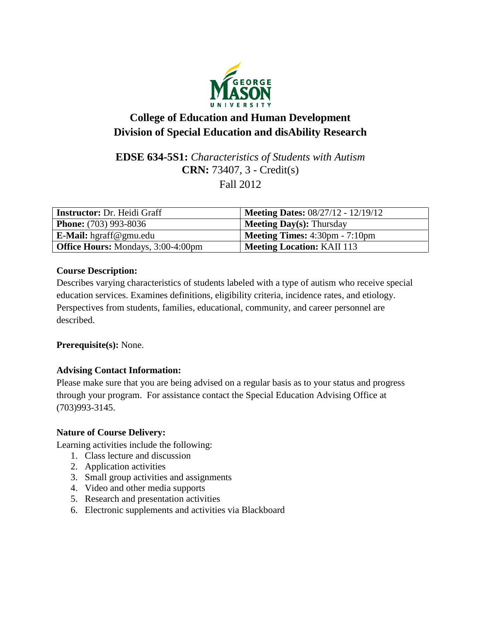

# **College of Education and Human Development Division of Special Education and disAbility Research**

# **EDSE 634-5S1:** *Characteristics of Students with Autism* **CRN:** 73407, 3 - Credit(s) Fall 2012

| <b>Instructor:</b> Dr. Heidi Graff        | <b>Meeting Dates: 08/27/12 - 12/19/12</b>               |
|-------------------------------------------|---------------------------------------------------------|
| <b>Phone:</b> (703) 993-8036              | <b>Meeting Day(s):</b> Thursday                         |
| <b>E-Mail:</b> hgraff@gmu.edu             | <b>Meeting Times:</b> $4:30 \text{pm} - 7:10 \text{pm}$ |
| <b>Office Hours:</b> Mondays, 3:00-4:00pm | <b>Meeting Location: KAII 113</b>                       |

# **Course Description:**

Describes varying characteristics of students labeled with a type of autism who receive special education services. Examines definitions, eligibility criteria, incidence rates, and etiology. Perspectives from students, families, educational, community, and career personnel are described.

# **Prerequisite(s):** None.

# **Advising Contact Information:**

Please make sure that you are being advised on a regular basis as to your status and progress through your program. For assistance contact the Special Education Advising Office at (703)993-3145.

# **Nature of Course Delivery:**

Learning activities include the following:

- 1. Class lecture and discussion
- 2. Application activities
- 3. Small group activities and assignments
- 4. Video and other media supports
- 5. Research and presentation activities
- 6. Electronic supplements and activities via Blackboard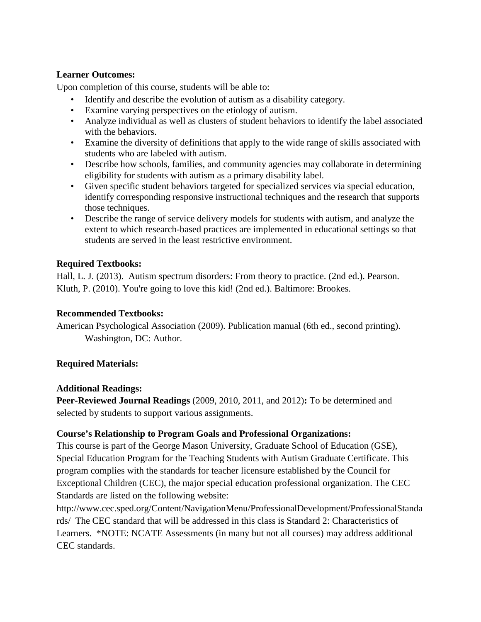## **Learner Outcomes:**

Upon completion of this course, students will be able to:

- Identify and describe the evolution of autism as a disability category.
- Examine varying perspectives on the etiology of autism.
- Analyze individual as well as clusters of student behaviors to identify the label associated with the behaviors.
- Examine the diversity of definitions that apply to the wide range of skills associated with students who are labeled with autism.
- Describe how schools, families, and community agencies may collaborate in determining eligibility for students with autism as a primary disability label.
- Given specific student behaviors targeted for specialized services via special education, identify corresponding responsive instructional techniques and the research that supports those techniques.
- Describe the range of service delivery models for students with autism, and analyze the extent to which research-based practices are implemented in educational settings so that students are served in the least restrictive environment.

# **Required Textbooks:**

Hall, L. J. (2013). Autism spectrum disorders: From theory to practice. (2nd ed.). Pearson. Kluth, P. (2010). You're going to love this kid! (2nd ed.). Baltimore: Brookes.

# **Recommended Textbooks:**

American Psychological Association (2009). Publication manual (6th ed., second printing). Washington, DC: Author.

# **Required Materials:**

# **Additional Readings:**

**Peer-Reviewed Journal Readings** (2009, 2010, 2011, and 2012)**:** To be determined and selected by students to support various assignments.

# **Course's Relationship to Program Goals and Professional Organizations:**

This course is part of the George Mason University, Graduate School of Education (GSE), Special Education Program for the Teaching Students with Autism Graduate Certificate. This program complies with the standards for teacher licensure established by the Council for Exceptional Children (CEC), the major special education professional organization. The CEC Standards are listed on the following website:

http://www.cec.sped.org/Content/NavigationMenu/ProfessionalDevelopment/ProfessionalStanda rds/ The CEC standard that will be addressed in this class is Standard 2: Characteristics of Learners. \*NOTE: NCATE Assessments (in many but not all courses) may address additional CEC standards.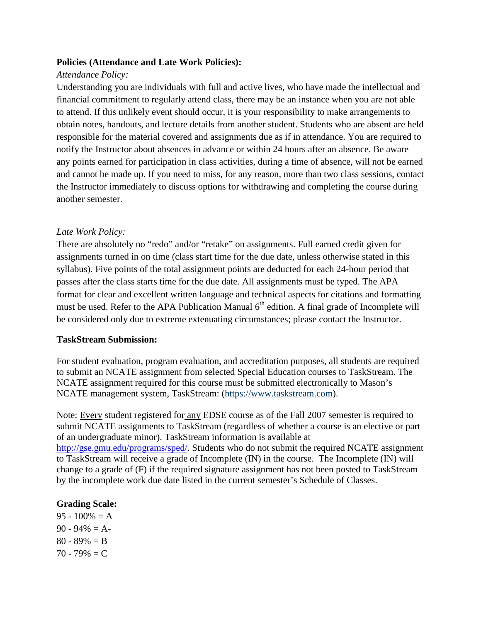#### **Policies (Attendance and Late Work Policies):**

#### *Attendance Policy:*

Understanding you are individuals with full and active lives, who have made the intellectual and financial commitment to regularly attend class, there may be an instance when you are not able to attend. If this unlikely event should occur, it is your responsibility to make arrangements to obtain notes, handouts, and lecture details from another student. Students who are absent are held responsible for the material covered and assignments due as if in attendance. You are required to notify the Instructor about absences in advance or within 24 hours after an absence. Be aware any points earned for participation in class activities, during a time of absence, will not be earned and cannot be made up. If you need to miss, for any reason, more than two class sessions, contact the Instructor immediately to discuss options for withdrawing and completing the course during another semester.

#### *Late Work Policy:*

There are absolutely no "redo" and/or "retake" on assignments. Full earned credit given for assignments turned in on time (class start time for the due date, unless otherwise stated in this syllabus). Five points of the total assignment points are deducted for each 24-hour period that passes after the class starts time for the due date. All assignments must be typed. The APA format for clear and excellent written language and technical aspects for citations and formatting must be used. Refer to the APA Publication Manual  $6<sup>th</sup>$  edition. A final grade of Incomplete will be considered only due to extreme extenuating circumstances; please contact the Instructor.

#### **TaskStream Submission:**

For student evaluation, program evaluation, and accreditation purposes, all students are required to submit an NCATE assignment from selected Special Education courses to TaskStream. The NCATE assignment required for this course must be submitted electronically to Mason's NCATE management system, TaskStream: (https://www.taskstream.com).

Note: Every student registered for any EDSE course as of the Fall 2007 semester is required to submit NCATE assignments to TaskStream (regardless of whether a course is an elective or part of an undergraduate minor). TaskStream information is available at [http://gse.gmu.edu/programs/sped/.](http://gse.gmu.edu/programs/sped/) Students who do not submit the required NCATE assignment to TaskStream will receive a grade of Incomplete (IN) in the course. The Incomplete (IN) will change to a grade of (F) if the required signature assignment has not been posted to TaskStream by the incomplete work due date listed in the current semester's Schedule of Classes.

#### **Grading Scale:**

 $95 - 100\% = A$  $90 - 94\% = A$  $80 - 89\% = B$  $70 - 79\% = C$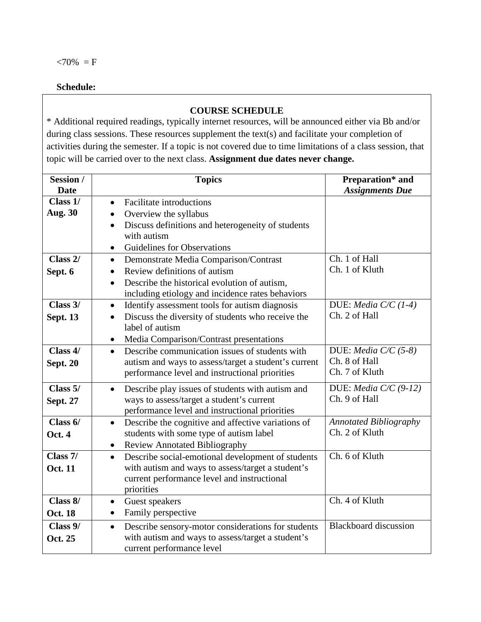## **Schedule:**

#### *3B***COURSE SCHEDULE**

\* Additional required readings, typically internet resources, will be announced either via Bb and/or during class sessions. These resources supplement the text(s) and facilitate your completion of activities during the semester. If a topic is not covered due to time limitations of a class session, that topic will be carried over to the next class. **Assignment due dates never change.**

| Session /       | <b>Topics</b>                                                   | Preparation* and              |
|-----------------|-----------------------------------------------------------------|-------------------------------|
| <b>Date</b>     |                                                                 | <b>Assignments Due</b>        |
| Class 1/        | <b>Facilitate introductions</b><br>$\bullet$                    |                               |
| <b>Aug. 30</b>  | Overview the syllabus<br>$\bullet$                              |                               |
|                 | Discuss definitions and heterogeneity of students<br>$\bullet$  |                               |
|                 | with autism                                                     |                               |
|                 | Guidelines for Observations<br>$\bullet$                        |                               |
| Class 2/        | Demonstrate Media Comparison/Contrast<br>$\bullet$              | Ch. 1 of Hall                 |
| Sept. 6         | Review definitions of autism<br>$\bullet$                       | Ch. 1 of Kluth                |
|                 | Describe the historical evolution of autism,<br>$\bullet$       |                               |
|                 | including etiology and incidence rates behaviors                |                               |
| Class 3/        | Identify assessment tools for autism diagnosis<br>$\bullet$     | DUE: Media $C/C$ (1-4)        |
| <b>Sept. 13</b> | Discuss the diversity of students who receive the<br>$\bullet$  | Ch. 2 of Hall                 |
|                 | label of autism                                                 |                               |
|                 | Media Comparison/Contrast presentations<br>$\bullet$            |                               |
| Class 4/        | Describe communication issues of students with<br>$\bullet$     | DUE: <i>Media C/C</i> $(5-8)$ |
| <b>Sept. 20</b> | autism and ways to assess/target a student's current            | Ch. 8 of Hall                 |
|                 | performance level and instructional priorities                  | Ch. 7 of Kluth                |
| Class 5/        | Describe play issues of students with autism and<br>$\bullet$   | DUE: Media $C/C$ (9-12)       |
| <b>Sept. 27</b> | ways to assess/target a student's current                       | Ch. 9 of Hall                 |
|                 | performance level and instructional priorities                  |                               |
| Class $6/$      | Describe the cognitive and affective variations of<br>$\bullet$ | <b>Annotated Bibliography</b> |
| Oct. 4          | students with some type of autism label                         | Ch. 2 of Kluth                |
|                 | <b>Review Annotated Bibliography</b><br>$\bullet$               |                               |
| Class 7/        | Describe social-emotional development of students<br>$\bullet$  | Ch. 6 of Kluth                |
| <b>Oct. 11</b>  | with autism and ways to assess/target a student's               |                               |
|                 | current performance level and instructional                     |                               |
|                 | priorities                                                      |                               |
| Class 8/        | Guest speakers<br>$\bullet$                                     | Ch. 4 of Kluth                |
| <b>Oct. 18</b>  | Family perspective<br>$\bullet$                                 |                               |
| Class 9/        | Describe sensory-motor considerations for students<br>$\bullet$ | <b>Blackboard</b> discussion  |
| Oct. 25         | with autism and ways to assess/target a student's               |                               |
|                 | current performance level                                       |                               |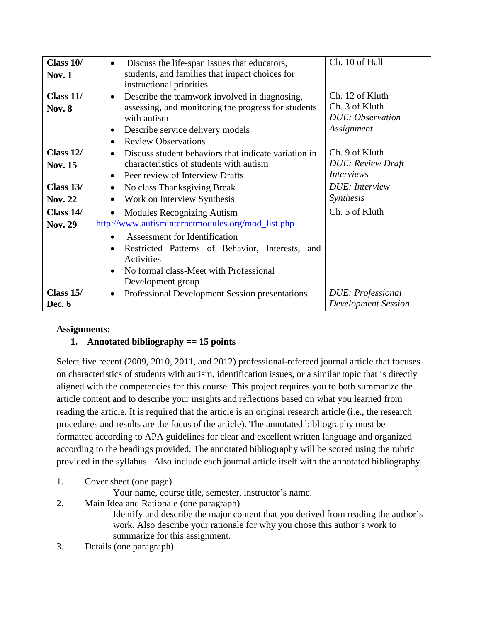| Class 10/      | Discuss the life-span issues that educators,<br>$\bullet$         | Ch. 10 of Hall             |
|----------------|-------------------------------------------------------------------|----------------------------|
| <b>Nov. 1</b>  | students, and families that impact choices for                    |                            |
|                | instructional priorities                                          |                            |
| Class $11/$    | Describe the teamwork involved in diagnosing,<br>$\bullet$        | Ch. 12 of Kluth            |
| <b>Nov. 8</b>  | assessing, and monitoring the progress for students               | Ch. 3 of Kluth             |
|                | with autism                                                       | <b>DUE</b> : Observation   |
|                | Describe service delivery models<br>$\bullet$                     | Assignment                 |
|                | <b>Review Observations</b><br>$\bullet$                           |                            |
| Class $12/$    | Discuss student behaviors that indicate variation in<br>$\bullet$ | Ch. 9 of Kluth             |
| <b>Nov. 15</b> | characteristics of students with autism                           | <b>DUE: Review Draft</b>   |
|                | Peer review of Interview Drafts<br>$\bullet$                      | <i>Interviews</i>          |
| Class $13/$    | No class Thanksgiving Break<br>$\bullet$                          | <b>DUE</b> : Interview     |
| <b>Nov. 22</b> | Work on Interview Synthesis<br>$\bullet$                          | <i>Synthesis</i>           |
| Class 14/      | <b>Modules Recognizing Autism</b><br>$\bullet$                    | Ch. 5 of Kluth             |
| <b>Nov. 29</b> | http://www.autisminternetmodules.org/mod_list.php                 |                            |
|                | <b>Assessment for Identification</b>                              |                            |
|                | Restricted Patterns of Behavior, Interests, and<br>$\bullet$      |                            |
|                | Activities                                                        |                            |
|                | No formal class-Meet with Professional<br>$\bullet$               |                            |
|                | Development group                                                 |                            |
| Class 15/      | Professional Development Session presentations<br>$\bullet$       | <b>DUE: Professional</b>   |
| Dec. 6         |                                                                   | <b>Development Session</b> |

# **Assignments:**

# **1. Annotated bibliography == 15 points**

Select five recent (2009, 2010, 2011, and 2012) professional-refereed journal article that focuses on characteristics of students with autism, identification issues, or a similar topic that is directly aligned with the competencies for this course. This project requires you to both summarize the article content and to describe your insights and reflections based on what you learned from reading the article. It is required that the article is an original research article (i.e., the research procedures and results are the focus of the article). The annotated bibliography must be formatted according to APA guidelines for clear and excellent written language and organized according to the headings provided. The annotated bibliography will be scored using the rubric provided in the syllabus. Also include each journal article itself with the annotated bibliography.

- 1. Cover sheet (one page)
	- Your name, course title, semester, instructor's name.
- 2. Main Idea and Rationale (one paragraph)

Identify and describe the major content that you derived from reading the author's work. Also describe your rationale for why you chose this author's work to summarize for this assignment.

3. Details (one paragraph)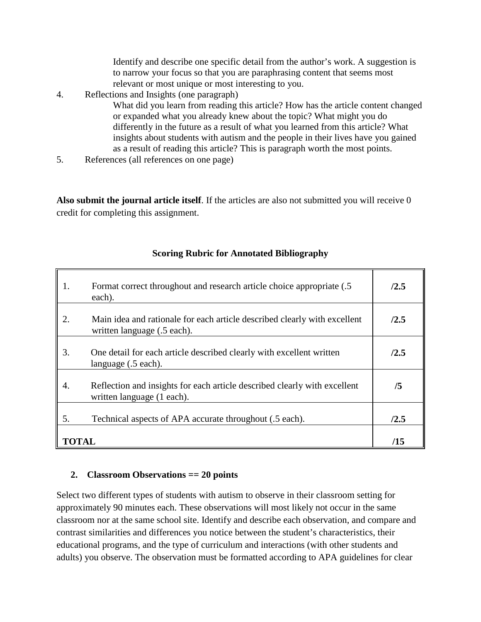Identify and describe one specific detail from the author's work. A suggestion is to narrow your focus so that you are paraphrasing content that seems most relevant or most unique or most interesting to you.

4. Reflections and Insights (one paragraph)

What did you learn from reading this article? How has the article content changed or expanded what you already knew about the topic? What might you do differently in the future as a result of what you learned from this article? What insights about students with autism and the people in their lives have you gained as a result of reading this article? This is paragraph worth the most points.

5. References (all references on one page)

**Also submit the journal article itself**. If the articles are also not submitted you will receive 0 credit for completing this assignment.

| 1.           | Format correct throughout and research article choice appropriate (.5)<br>each).                         | /2.5 |
|--------------|----------------------------------------------------------------------------------------------------------|------|
| 2.           | Main idea and rationale for each article described clearly with excellent<br>written language (.5 each). | /2.5 |
| 3.           | One detail for each article described clearly with excellent written<br>language (.5 each).              | /2.5 |
| 4.           | Reflection and insights for each article described clearly with excellent<br>written language (1 each).  | /5   |
| 5.           | Technical aspects of APA accurate throughout (.5 each).                                                  | /2.5 |
| <b>TOTAL</b> |                                                                                                          | /15  |

# **Scoring Rubric for Annotated Bibliography**

# **2. Classroom Observations == 20 points**

Select two different types of students with autism to observe in their classroom setting for approximately 90 minutes each. These observations will most likely not occur in the same classroom nor at the same school site. Identify and describe each observation, and compare and contrast similarities and differences you notice between the student's characteristics, their educational programs, and the type of curriculum and interactions (with other students and adults) you observe. The observation must be formatted according to APA guidelines for clear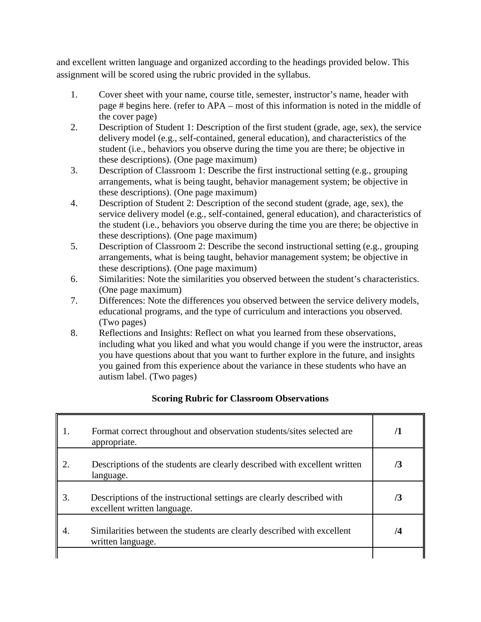and excellent written language and organized according to the headings provided below. This assignment will be scored using the rubric provided in the syllabus.

- 1. Cover sheet with your name, course title, semester, instructor's name, header with page # begins here. (refer to APA – most of this information is noted in the middle of the cover page)
- 2. Description of Student 1: Description of the first student (grade, age, sex), the service delivery model (e.g., self-contained, general education), and characteristics of the student (i.e., behaviors you observe during the time you are there; be objective in these descriptions). (One page maximum)
- 3. Description of Classroom 1: Describe the first instructional setting (e.g., grouping arrangements, what is being taught, behavior management system; be objective in these descriptions). (One page maximum)
- 4. Description of Student 2: Description of the second student (grade, age, sex), the service delivery model (e.g., self-contained, general education), and characteristics of the student (i.e., behaviors you observe during the time you are there; be objective in these descriptions). (One page maximum)
- 5. Description of Classroom 2: Describe the second instructional setting (e.g., grouping arrangements, what is being taught, behavior management system; be objective in these descriptions). (One page maximum)
- 6. Similarities: Note the similarities you observed between the student's characteristics. (One page maximum)
- 7. Differences: Note the differences you observed between the service delivery models, educational programs, and the type of curriculum and interactions you observed. (Two pages)
- 8. Reflections and Insights: Reflect on what you learned from these observations, including what you liked and what you would change if you were the instructor, areas you have questions about that you want to further explore in the future, and insights you gained from this experience about the variance in these students who have an autism label. (Two pages)

# **Scoring Rubric for Classroom Observations**

| 1. | Format correct throughout and observation students/sites selected are<br>appropriate.                | /1 |
|----|------------------------------------------------------------------------------------------------------|----|
| 2. | Descriptions of the students are clearly described with excellent written<br>language.               | /3 |
| 3. | Descriptions of the instructional settings are clearly described with<br>excellent written language. | /3 |
| 4. | Similarities between the students are clearly described with excellent<br>written language.          | /4 |
|    |                                                                                                      |    |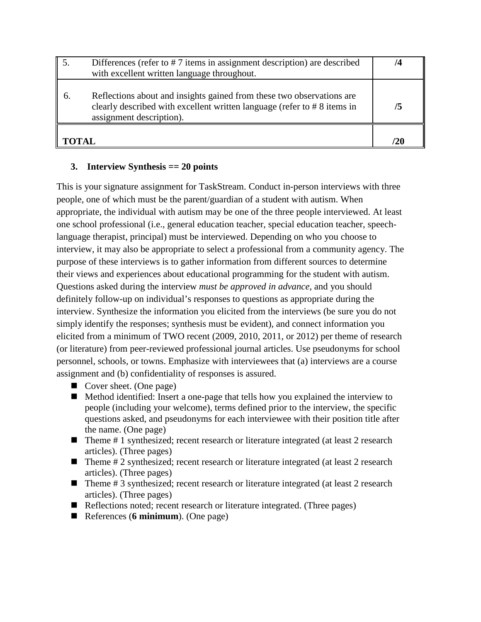|       | Differences (refer to #7 items in assignment description) are described<br>with excellent written language throughout.                                                           | 14 |
|-------|----------------------------------------------------------------------------------------------------------------------------------------------------------------------------------|----|
| 6.    | Reflections about and insights gained from these two observations are<br>clearly described with excellent written language (refer to $\# 8$ items in<br>assignment description). | /5 |
| TOTAL |                                                                                                                                                                                  | 20 |

# **3. Interview Synthesis == 20 points**

This is your signature assignment for TaskStream. Conduct in-person interviews with three people, one of which must be the parent/guardian of a student with autism. When appropriate, the individual with autism may be one of the three people interviewed. At least one school professional (i.e., general education teacher, special education teacher, speechlanguage therapist, principal) must be interviewed. Depending on who you choose to interview, it may also be appropriate to select a professional from a community agency. The purpose of these interviews is to gather information from different sources to determine their views and experiences about educational programming for the student with autism. Questions asked during the interview *must be approved in advance*, and you should definitely follow-up on individual's responses to questions as appropriate during the interview. Synthesize the information you elicited from the interviews (be sure you do not simply identify the responses; synthesis must be evident), and connect information you elicited from a minimum of TWO recent (2009, 2010, 2011, or 2012) per theme of research (or literature) from peer-reviewed professional journal articles. Use pseudonyms for school personnel, schools, or towns. Emphasize with interviewees that (a) interviews are a course assignment and (b) confidentiality of responses is assured.

- Cover sheet. (One page)
- Method identified: Insert a one-page that tells how you explained the interview to people (including your welcome), terms defined prior to the interview, the specific questions asked, and pseudonyms for each interviewee with their position title after the name. (One page)
- $\blacksquare$  Theme # 1 synthesized; recent research or literature integrated (at least 2 research articles). (Three pages)
- $\blacksquare$  Theme # 2 synthesized; recent research or literature integrated (at least 2 research articles). (Three pages)
- $\blacksquare$  Theme # 3 synthesized; recent research or literature integrated (at least 2 research articles). (Three pages)
- Reflections noted; recent research or literature integrated. (Three pages)
- References (**6 minimum**). (One page)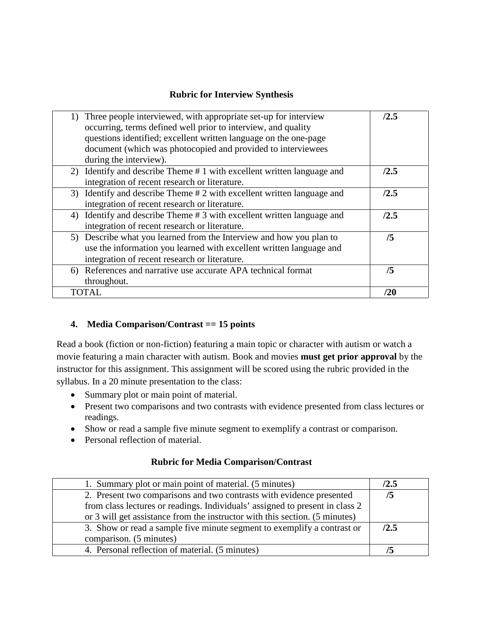# **Rubric for Interview Synthesis**

| 1) Three people interviewed, with appropriate set-up for interview<br>occurring, terms defined well prior to interview, and quality<br>questions identified; excellent written language on the one-page<br>document (which was photocopied and provided to interviewees<br>during the interview). | /2.5 |
|---------------------------------------------------------------------------------------------------------------------------------------------------------------------------------------------------------------------------------------------------------------------------------------------------|------|
| 2) Identify and describe Theme #1 with excellent written language and<br>integration of recent research or literature.                                                                                                                                                                            | /2.5 |
| 3) Identify and describe Theme #2 with excellent written language and<br>integration of recent research or literature.                                                                                                                                                                            | /2.5 |
| 4) Identify and describe Theme #3 with excellent written language and<br>integration of recent research or literature.                                                                                                                                                                            | /2.5 |
| 5) Describe what you learned from the Interview and how you plan to<br>use the information you learned with excellent written language and<br>integration of recent research or literature.                                                                                                       | /5   |
| 6) References and narrative use accurate APA technical format<br>throughout.                                                                                                                                                                                                                      | /5   |
| TOTAL                                                                                                                                                                                                                                                                                             | /20  |

# **4. Media Comparison/Contrast == 15 points**

Read a book (fiction or non-fiction) featuring a main topic or character with autism or watch a movie featuring a main character with autism. Book and movies **must get prior approval** by the instructor for this assignment. This assignment will be scored using the rubric provided in the syllabus. In a 20 minute presentation to the class:

- Summary plot or main point of material.
- Present two comparisons and two contrasts with evidence presented from class lectures or readings.
- Show or read a sample five minute segment to exemplify a contrast or comparison.
- Personal reflection of material.

# **Rubric for Media Comparison/Contrast**

| 1. Summary plot or main point of material. (5 minutes)                       | /2.5 |
|------------------------------------------------------------------------------|------|
| 2. Present two comparisons and two contrasts with evidence presented         |      |
| from class lectures or readings. Individuals' assigned to present in class 2 |      |
| or 3 will get assistance from the instructor with this section. (5 minutes)  |      |
| 3. Show or read a sample five minute segment to exemplify a contrast or      | /2.5 |
| comparison. (5 minutes)                                                      |      |
| 4. Personal reflection of material. (5 minutes)                              |      |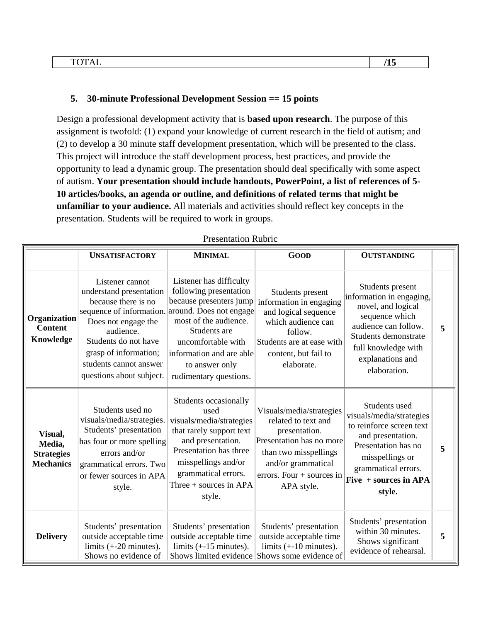## **5. 30-minute Professional Development Session == 15 points**

Design a professional development activity that is **based upon research**. The purpose of this assignment is twofold: (1) expand your knowledge of current research in the field of autism; and (2) to develop a 30 minute staff development presentation, which will be presented to the class. This project will introduce the staff development process, best practices, and provide the opportunity to lead a dynamic group. The presentation should deal specifically with some aspect of autism. **Your presentation should include handouts, PowerPoint, a list of references of 5- 10 articles/books, an agenda or outline, and definitions of related terms that might be unfamiliar to your audience.** All materials and activities should reflect key concepts in the presentation. Students will be required to work in groups.

|                                                            | <b>UNSATISFACTORY</b>                                                                                                                                                                                                                                            | <b>MINIMAL</b>                                                                                                                                                                                                         | <b>GOOD</b>                                                                                                                                                                              | <b>OUTSTANDING</b>                                                                                                                                                                               |   |
|------------------------------------------------------------|------------------------------------------------------------------------------------------------------------------------------------------------------------------------------------------------------------------------------------------------------------------|------------------------------------------------------------------------------------------------------------------------------------------------------------------------------------------------------------------------|------------------------------------------------------------------------------------------------------------------------------------------------------------------------------------------|--------------------------------------------------------------------------------------------------------------------------------------------------------------------------------------------------|---|
| Organization<br><b>Content</b><br>Knowledge                | Listener cannot<br>understand presentation<br>because there is no<br>sequence of information. around. Does not engage<br>Does not engage the<br>audience.<br>Students do not have<br>grasp of information;<br>students cannot answer<br>questions about subject. | Listener has difficulty<br>following presentation<br>because presenters jump<br>most of the audience.<br>Students are<br>uncomfortable with<br>information and are able<br>to answer only<br>rudimentary questions.    | Students present<br>information in engaging<br>and logical sequence<br>which audience can<br>follow.<br>Students are at ease with<br>content, but fail to<br>elaborate.                  | Students present<br>information in engaging,<br>novel, and logical<br>sequence which<br>audience can follow.<br>Students demonstrate<br>full knowledge with<br>explanations and<br>elaboration.  | 5 |
| Visual,<br>Media,<br><b>Strategies</b><br><b>Mechanics</b> | Students used no<br>visuals/media/strategies.<br>Students' presentation<br>has four or more spelling<br>errors and/or<br>grammatical errors. Two<br>or fewer sources in APA<br>style.                                                                            | Students occasionally<br>used<br>visuals/media/strategies<br>that rarely support text<br>and presentation.<br>Presentation has three<br>misspellings and/or<br>grammatical errors.<br>Three + sources in APA<br>style. | Visuals/media/strategies<br>related to text and<br>presentation.<br>Presentation has no more<br>than two misspellings<br>and/or grammatical<br>errors. Four $+$ sources in<br>APA style. | Students used<br>visuals/media/strategies<br>to reinforce screen text<br>and presentation.<br>Presentation has no<br>misspellings or<br>grammatical errors.<br>Five $+$ sources in APA<br>style. | 5 |
| <b>Delivery</b>                                            | Students' presentation<br>outside acceptable time<br>limits $(+20$ minutes).<br>Shows no evidence of                                                                                                                                                             | Students' presentation<br>outside acceptable time<br>limits $(+15$ minutes).                                                                                                                                           | Students' presentation<br>outside acceptable time<br>limits $(+10$ minutes).<br>Shows limited evidence Shows some evidence of                                                            | Students' presentation<br>within 30 minutes.<br>Shows significant<br>evidence of rehearsal.                                                                                                      | 5 |

#### Presentation Rubric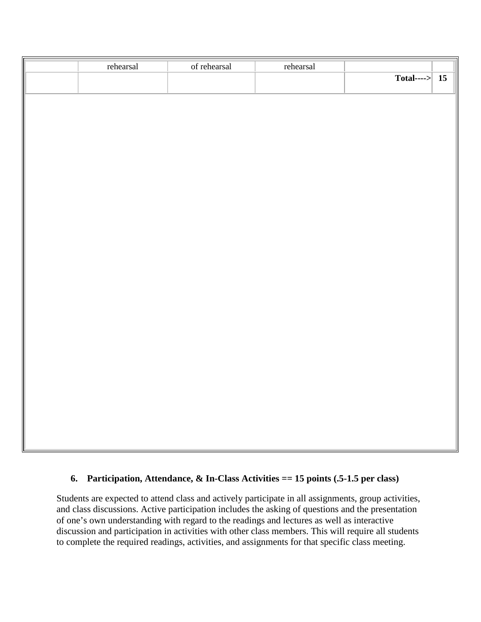| $\boxed{\text{Total} \longrightarrow}$ 15 | rehearsal | of rehearsal | rehearsal |  |
|-------------------------------------------|-----------|--------------|-----------|--|
|                                           |           |              |           |  |
|                                           |           |              |           |  |
|                                           |           |              |           |  |
|                                           |           |              |           |  |
|                                           |           |              |           |  |
|                                           |           |              |           |  |
|                                           |           |              |           |  |
|                                           |           |              |           |  |
|                                           |           |              |           |  |
|                                           |           |              |           |  |
|                                           |           |              |           |  |
|                                           |           |              |           |  |
|                                           |           |              |           |  |
|                                           |           |              |           |  |
|                                           |           |              |           |  |
|                                           |           |              |           |  |
|                                           |           |              |           |  |
|                                           |           |              |           |  |
|                                           |           |              |           |  |
|                                           |           |              |           |  |
|                                           |           |              |           |  |
|                                           |           |              |           |  |
|                                           |           |              |           |  |
|                                           |           |              |           |  |
|                                           |           |              |           |  |
|                                           |           |              |           |  |
|                                           |           |              |           |  |
|                                           |           |              |           |  |

## **6. Participation, Attendance, & In-Class Activities == 15 points (.5-1.5 per class)**

Students are expected to attend class and actively participate in all assignments, group activities, and class discussions. Active participation includes the asking of questions and the presentation of one's own understanding with regard to the readings and lectures as well as interactive discussion and participation in activities with other class members. This will require all students to complete the required readings, activities, and assignments for that specific class meeting.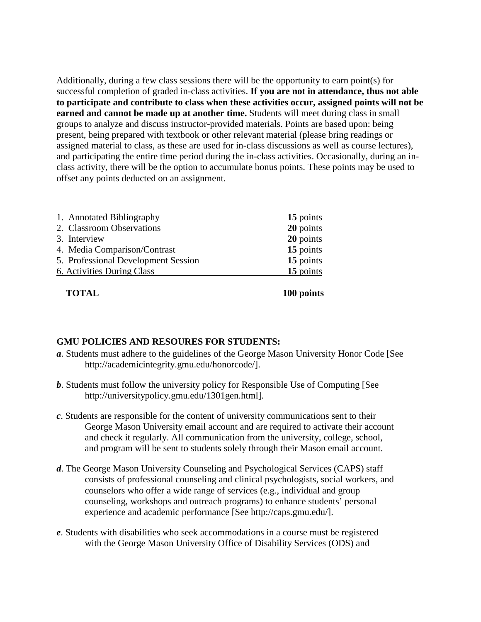Additionally, during a few class sessions there will be the opportunity to earn point(s) for successful completion of graded in-class activities. **If you are not in attendance, thus not able to participate and contribute to class when these activities occur, assigned points will not be earned and cannot be made up at another time.** Students will meet during class in small groups to analyze and discuss instructor-provided materials. Points are based upon: being present, being prepared with textbook or other relevant material (please bring readings or assigned material to class, as these are used for in-class discussions as well as course lectures), and participating the entire time period during the in-class activities. Occasionally, during an inclass activity, there will be the option to accumulate bonus points. These points may be used to offset any points deducted on an assignment.

| 1. Annotated Bibliography           | 15 points |
|-------------------------------------|-----------|
| 2. Classroom Observations           | 20 points |
| 3. Interview                        | 20 points |
| 4. Media Comparison/Contrast        | 15 points |
| 5. Professional Development Session | 15 points |
| 6. Activities During Class          | 15 points |
|                                     |           |

**TOTAL 100 points**

#### **GMU POLICIES AND RESOURES FOR STUDENTS:**

- *a*. Students must adhere to the guidelines of the George Mason University Honor Code [See http://academicintegrity.gmu.edu/honorcode/].
- *b*. Students must follow the university policy for Responsible Use of Computing [See http://universitypolicy.gmu.edu/1301gen.html].
- *c*. Students are responsible for the content of university communications sent to their George Mason University email account and are required to activate their account and check it regularly. All communication from the university, college, school, and program will be sent to students solely through their Mason email account.
- *d*. The George Mason University Counseling and Psychological Services (CAPS) staff consists of professional counseling and clinical psychologists, social workers, and counselors who offer a wide range of services (e.g., individual and group counseling, workshops and outreach programs) to enhance students' personal experience and academic performance [See http://caps.gmu.edu/].
- *e*. Students with disabilities who seek accommodations in a course must be registered with the George Mason University Office of Disability Services (ODS) and